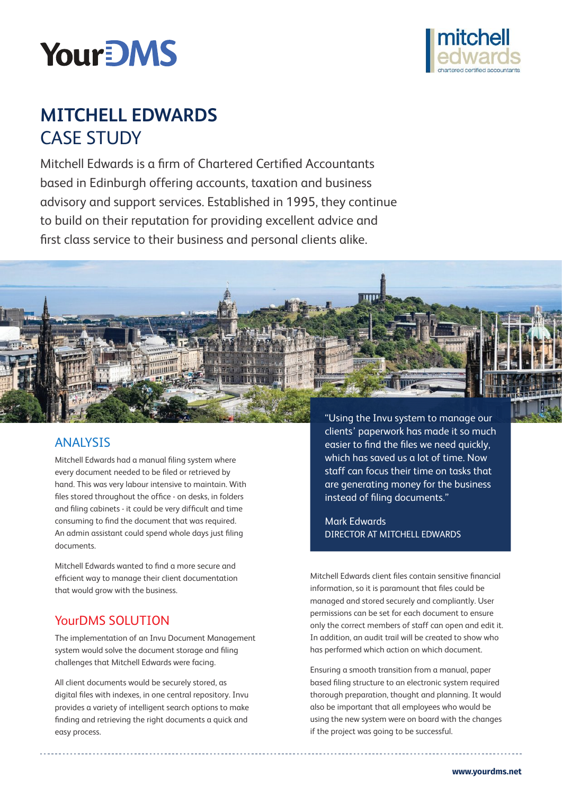



# **mitchell edwards CASE STUDY**

Mitchell Edwards is a firm of Chartered Certified Accountants based in Edinburgh offering accounts, taxation and business advisory and support services. Established in 1995, they continue to build on their reputation for providing excellent advice and first class service to their business and personal clients alike.



## Analysis

Mitchell Edwards had a manual filing system where every document needed to be filed or retrieved by hand. This was very labour intensive to maintain. With files stored throughout the office - on desks, in folders and filing cabinets - it could be very difficult and time consuming to find the document that was required. An admin assistant could spend whole days just filing documents.

Mitchell Edwards wanted to find a more secure and efficient way to manage their client documentation that would grow with the business.

# YourDMS SOLUTION

The implementation of an Invu Document Management system would solve the document storage and filing challenges that Mitchell Edwards were facing.

All client documents would be securely stored, as digital files with indexes, in one central repository. Invu provides a variety of intelligent search options to make finding and retrieving the right documents a quick and easy process.

clients' paperwork has made it so much easier to find the files we need quickly, which has saved us a lot of time. Now staff can focus their time on tasks that are generating money for the business instead of filing documents."

Mark Edwards director at mitchell edwards

Mitchell Edwards client files contain sensitive financial information, so it is paramount that files could be managed and stored securely and compliantly. User permissions can be set for each document to ensure only the correct members of staff can open and edit it. In addition, an audit trail will be created to show who has performed which action on which document.

Ensuring a smooth transition from a manual, paper based filing structure to an electronic system required thorough preparation, thought and planning. It would also be important that all employees who would be using the new system were on board with the changes if the project was going to be successful.

**<www.yourdms.net>**